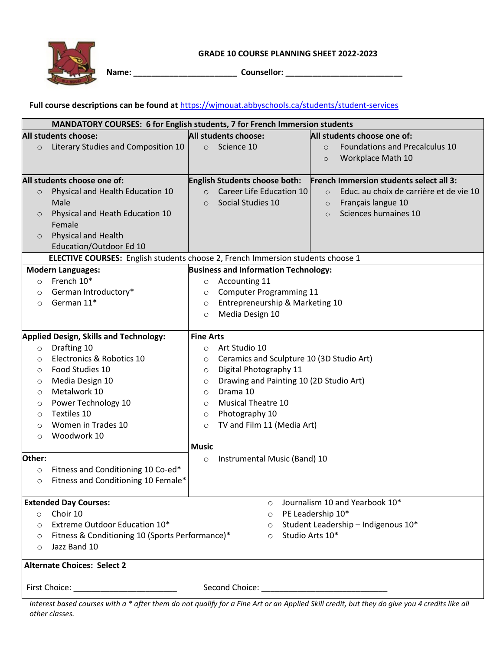

**Name: \_\_\_\_\_\_\_\_\_\_\_\_\_\_\_\_\_\_\_\_\_\_\_ Counsellor: \_\_\_\_\_\_\_\_\_\_\_\_\_\_\_\_\_\_\_\_\_\_\_\_\_\_**

## **Full course descriptions can be found at** [https://wjmouat.abbyschools.ca/students/student-services](https://wjmouat.abbyschools.ca/students/student-servicesn)

| MANDATORY COURSES: 6 for English students, 7 for French Immersion students               |                                                                                        |                                                    |                                 |  |                                                    |  |
|------------------------------------------------------------------------------------------|----------------------------------------------------------------------------------------|----------------------------------------------------|---------------------------------|--|----------------------------------------------------|--|
| All students choose:                                                                     |                                                                                        | All students choose:                               |                                 |  | All students choose one of:                        |  |
| $\circ$                                                                                  | Literary Studies and Composition 10                                                    |                                                    | o Science 10                    |  | Foundations and Precalculus 10<br>$\circ$          |  |
|                                                                                          |                                                                                        |                                                    |                                 |  | Workplace Math 10<br>$\circ$                       |  |
|                                                                                          |                                                                                        |                                                    |                                 |  |                                                    |  |
| All students choose one of:                                                              |                                                                                        |                                                    | English Students choose both:   |  | French Immersion students select all 3:            |  |
| $\circ$                                                                                  | Physical and Health Education 10                                                       | $\circ$                                            | Career Life Education 10        |  | Educ. au choix de carrière et de vie 10<br>$\circ$ |  |
|                                                                                          | Male                                                                                   | $\circ$                                            | Social Studies 10               |  | Français langue 10<br>$\circ$                      |  |
| $\circ$                                                                                  | Physical and Heath Education 10                                                        |                                                    |                                 |  | Sciences humaines 10<br>$\circ$                    |  |
|                                                                                          | Female                                                                                 |                                                    |                                 |  |                                                    |  |
| $\circ$                                                                                  | Physical and Health                                                                    |                                                    |                                 |  |                                                    |  |
|                                                                                          | Education/Outdoor Ed 10                                                                |                                                    |                                 |  |                                                    |  |
|                                                                                          | <b>ELECTIVE COURSES:</b> English students choose 2, French Immersion students choose 1 |                                                    |                                 |  |                                                    |  |
| <b>Business and Information Technology:</b><br><b>Modern Languages:</b>                  |                                                                                        |                                                    |                                 |  |                                                    |  |
| $\circ$                                                                                  | French 10*                                                                             | $\circ$                                            | Accounting 11                   |  |                                                    |  |
| $\circ$                                                                                  | German Introductory*                                                                   | $\circ$                                            | <b>Computer Programming 11</b>  |  |                                                    |  |
| $\circ$                                                                                  | German 11*                                                                             | $\circ$                                            | Entrepreneurship & Marketing 10 |  |                                                    |  |
|                                                                                          |                                                                                        | $\circ$                                            | Media Design 10                 |  |                                                    |  |
|                                                                                          |                                                                                        |                                                    |                                 |  |                                                    |  |
| <b>Applied Design, Skills and Technology:</b>                                            |                                                                                        | <b>Fine Arts</b>                                   |                                 |  |                                                    |  |
| $\circ$                                                                                  | Drafting 10                                                                            | $\circ$                                            | Art Studio 10                   |  |                                                    |  |
| $\circ$                                                                                  | Electronics & Robotics 10                                                              | Ceramics and Sculpture 10 (3D Studio Art)<br>O     |                                 |  |                                                    |  |
| $\circ$                                                                                  | Food Studies 10                                                                        | Digital Photography 11<br>$\circ$                  |                                 |  |                                                    |  |
| $\circ$                                                                                  | Media Design 10                                                                        | Drawing and Painting 10 (2D Studio Art)<br>$\circ$ |                                 |  |                                                    |  |
| $\circ$                                                                                  | Metalwork 10                                                                           | Drama 10<br>$\circ$                                |                                 |  |                                                    |  |
| $\circ$                                                                                  | Power Technology 10                                                                    | <b>Musical Theatre 10</b><br>$\circ$               |                                 |  |                                                    |  |
| $\circ$                                                                                  | Textiles 10                                                                            | Photography 10<br>$\circ$                          |                                 |  |                                                    |  |
| O                                                                                        | Women in Trades 10                                                                     | TV and Film 11 (Media Art)<br>$\circ$              |                                 |  |                                                    |  |
| $\circ$                                                                                  | Woodwork 10                                                                            |                                                    |                                 |  |                                                    |  |
|                                                                                          |                                                                                        | <b>Music</b>                                       |                                 |  |                                                    |  |
| Other:                                                                                   |                                                                                        | $\circ$                                            | Instrumental Music (Band) 10    |  |                                                    |  |
| $\circ$                                                                                  | Fitness and Conditioning 10 Co-ed*                                                     |                                                    |                                 |  |                                                    |  |
| $\circ$                                                                                  | Fitness and Conditioning 10 Female*                                                    |                                                    |                                 |  |                                                    |  |
|                                                                                          |                                                                                        |                                                    |                                 |  |                                                    |  |
| <b>Extended Day Courses:</b>                                                             |                                                                                        |                                                    | $\circ$                         |  | Journalism 10 and Yearbook 10*                     |  |
| $\circ$                                                                                  | Choir 10                                                                               |                                                    | $\circ$                         |  | PE Leadership 10*                                  |  |
| Extreme Outdoor Education 10*<br>$\circ$<br>$\circ$                                      |                                                                                        |                                                    |                                 |  | Student Leadership - Indigenous 10*                |  |
| Studio Arts 10*<br>Fitness & Conditioning 10 (Sports Performance)*<br>$\circ$<br>$\circ$ |                                                                                        |                                                    |                                 |  |                                                    |  |
| Jazz Band 10<br>$\circ$                                                                  |                                                                                        |                                                    |                                 |  |                                                    |  |
| <b>Alternate Choices: Select 2</b>                                                       |                                                                                        |                                                    |                                 |  |                                                    |  |
|                                                                                          |                                                                                        |                                                    |                                 |  |                                                    |  |
|                                                                                          |                                                                                        |                                                    |                                 |  |                                                    |  |
| First Choice: <u>_________________________</u>                                           |                                                                                        |                                                    |                                 |  |                                                    |  |

*Interest based courses with a \* after them do not qualify for a Fine Art or an Applied Skill credit, but they do give you 4 credits like all other classes.*